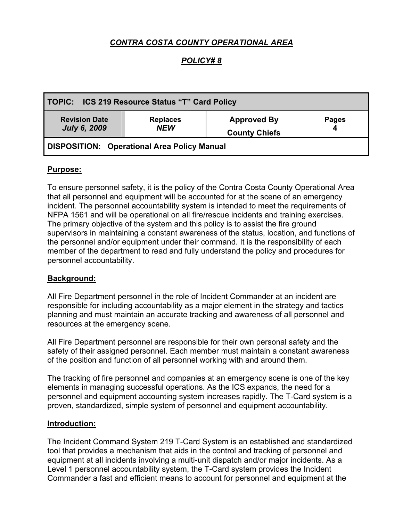# *CONTRA COSTA COUNTY OPERATIONAL AREA*

## *POLICY# 8*

| TOPIC: ICS 219 Resource Status "T" Card Policy |                               |                                            |              |
|------------------------------------------------|-------------------------------|--------------------------------------------|--------------|
| <b>Revision Date</b><br><b>July 6, 2009</b>    | <b>Replaces</b><br><b>NEW</b> | <b>Approved By</b><br><b>County Chiefs</b> | <b>Pages</b> |
| DISPOSITION: Operational Area Policy Manual    |                               |                                            |              |

### **Purpose:**

To ensure personnel safety, it is the policy of the Contra Costa County Operational Area that all personnel and equipment will be accounted for at the scene of an emergency incident. The personnel accountability system is intended to meet the requirements of NFPA 1561 and will be operational on all fire/rescue incidents and training exercises. The primary objective of the system and this policy is to assist the fire ground supervisors in maintaining a constant awareness of the status, location, and functions of the personnel and/or equipment under their command. It is the responsibility of each member of the department to read and fully understand the policy and procedures for personnel accountability.

### **Background:**

All Fire Department personnel in the role of Incident Commander at an incident are responsible for including accountability as a major element in the strategy and tactics planning and must maintain an accurate tracking and awareness of all personnel and resources at the emergency scene.

All Fire Department personnel are responsible for their own personal safety and the safety of their assigned personnel. Each member must maintain a constant awareness of the position and function of all personnel working with and around them.

The tracking of fire personnel and companies at an emergency scene is one of the key elements in managing successful operations. As the ICS expands, the need for a personnel and equipment accounting system increases rapidly. The T-Card system is a proven, standardized, simple system of personnel and equipment accountability.

#### **Introduction:**

The Incident Command System 219 T-Card System is an established and standardized tool that provides a mechanism that aids in the control and tracking of personnel and equipment at all incidents involving a multi-unit dispatch and/or major incidents. As a Level 1 personnel accountability system, the T-Card system provides the Incident Commander a fast and efficient means to account for personnel and equipment at the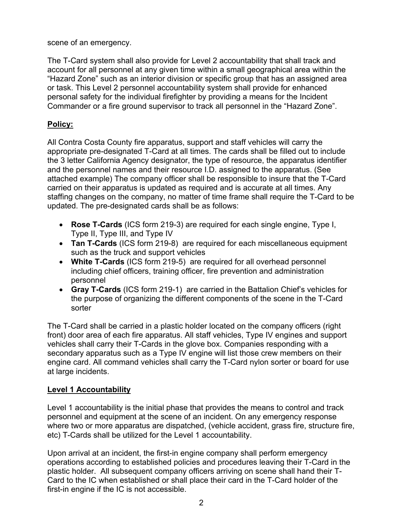scene of an emergency.

The T-Card system shall also provide for Level 2 accountability that shall track and account for all personnel at any given time within a small geographical area within the "Hazard Zone" such as an interior division or specific group that has an assigned area or task. This Level 2 personnel accountability system shall provide for enhanced personal safety for the individual firefighter by providing a means for the Incident Commander or a fire ground supervisor to track all personnel in the "Hazard Zone".

# **Policy:**

All Contra Costa County fire apparatus, support and staff vehicles will carry the appropriate pre-designated T-Card at all times. The cards shall be filled out to include the 3 letter California Agency designator, the type of resource, the apparatus identifier and the personnel names and their resource I.D. assigned to the apparatus. (See attached example) The company officer shall be responsible to insure that the T-Card carried on their apparatus is updated as required and is accurate at all times. Any staffing changes on the company, no matter of time frame shall require the T-Card to be updated. The pre-designated cards shall be as follows:

- **Rose T-Cards** (ICS form 219-3) are required for each single engine, Type I, Type II, Type III, and Type IV
- **Tan T-Cards** (ICS form 219-8) are required for each miscellaneous equipment such as the truck and support vehicles
- **White T-Cards** (ICS form 219-5) are required for all overhead personnel including chief officers, training officer, fire prevention and administration personnel
- **Gray T-Cards** (ICS form 219-1) are carried in the Battalion Chief's vehicles for the purpose of organizing the different components of the scene in the T-Card sorter

The T-Card shall be carried in a plastic holder located on the company officers (right front) door area of each fire apparatus. All staff vehicles, Type IV engines and support vehicles shall carry their T-Cards in the glove box. Companies responding with a secondary apparatus such as a Type IV engine will list those crew members on their engine card. All command vehicles shall carry the T-Card nylon sorter or board for use at large incidents.

# **Level 1 Accountability**

Level 1 accountability is the initial phase that provides the means to control and track personnel and equipment at the scene of an incident. On any emergency response where two or more apparatus are dispatched, (vehicle accident, grass fire, structure fire, etc) T-Cards shall be utilized for the Level 1 accountability.

Upon arrival at an incident, the first-in engine company shall perform emergency operations according to established policies and procedures leaving their T-Card in the plastic holder. All subsequent company officers arriving on scene shall hand their T-Card to the IC when established or shall place their card in the T-Card holder of the first-in engine if the IC is not accessible.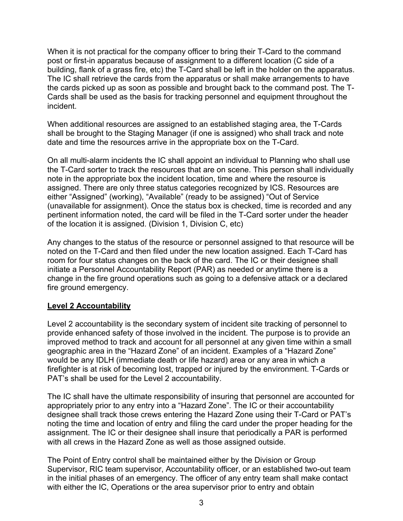When it is not practical for the company officer to bring their T-Card to the command post or first-in apparatus because of assignment to a different location (C side of a building, flank of a grass fire, etc) the T-Card shall be left in the holder on the apparatus. The IC shall retrieve the cards from the apparatus or shall make arrangements to have the cards picked up as soon as possible and brought back to the command post. The T-Cards shall be used as the basis for tracking personnel and equipment throughout the incident.

When additional resources are assigned to an established staging area, the T-Cards shall be brought to the Staging Manager (if one is assigned) who shall track and note date and time the resources arrive in the appropriate box on the T-Card.

On all multi-alarm incidents the IC shall appoint an individual to Planning who shall use the T-Card sorter to track the resources that are on scene. This person shall individually note in the appropriate box the incident location, time and where the resource is assigned. There are only three status categories recognized by ICS. Resources are either "Assigned" (working), "Available" (ready to be assigned) "Out of Service (unavailable for assignment). Once the status box is checked, time is recorded and any pertinent information noted, the card will be filed in the T-Card sorter under the header of the location it is assigned. (Division 1, Division C, etc)

Any changes to the status of the resource or personnel assigned to that resource will be noted on the T-Card and then filed under the new location assigned. Each T-Card has room for four status changes on the back of the card. The IC or their designee shall initiate a Personnel Accountability Report (PAR) as needed or anytime there is a change in the fire ground operations such as going to a defensive attack or a declared fire ground emergency.

## **Level 2 Accountability**

Level 2 accountability is the secondary system of incident site tracking of personnel to provide enhanced safety of those involved in the incident. The purpose is to provide an improved method to track and account for all personnel at any given time within a small geographic area in the "Hazard Zone" of an incident. Examples of a "Hazard Zone" would be any IDLH (immediate death or life hazard) area or any area in which a firefighter is at risk of becoming lost, trapped or injured by the environment. T-Cards or PAT's shall be used for the Level 2 accountability.

The IC shall have the ultimate responsibility of insuring that personnel are accounted for appropriately prior to any entry into a "Hazard Zone". The IC or their accountability designee shall track those crews entering the Hazard Zone using their T-Card or PAT's noting the time and location of entry and filing the card under the proper heading for the assignment. The IC or their designee shall insure that periodically a PAR is performed with all crews in the Hazard Zone as well as those assigned outside.

The Point of Entry control shall be maintained either by the Division or Group Supervisor, RIC team supervisor, Accountability officer, or an established two-out team in the initial phases of an emergency. The officer of any entry team shall make contact with either the IC, Operations or the area supervisor prior to entry and obtain